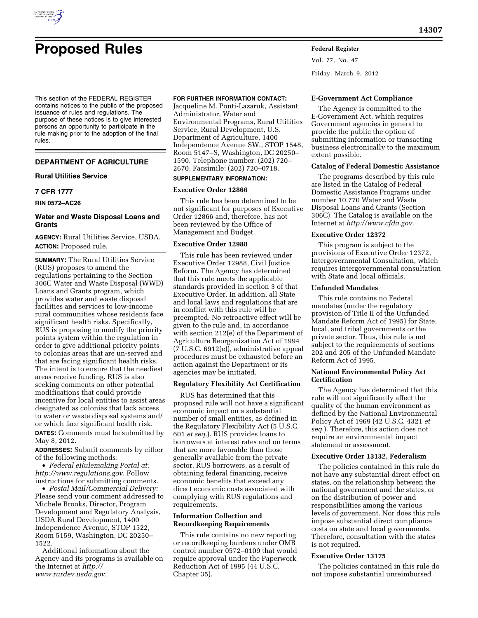

This section of the FEDERAL REGISTER contains notices to the public of the proposed issuance of rules and regulations. The purpose of these notices is to give interested persons an opportunity to participate in the rule making prior to the adoption of the final rules.

# **DEPARTMENT OF AGRICULTURE**

### **Rural Utilities Service**

### **7 CFR 1777**

**RIN 0572–AC26** 

# **Water and Waste Disposal Loans and Grants**

**AGENCY:** Rural Utilities Service, USDA. **ACTION:** Proposed rule.

**SUMMARY:** The Rural Utilities Service (RUS) proposes to amend the regulations pertaining to the Section 306C Water and Waste Disposal (WWD) Loans and Grants program, which provides water and waste disposal facilities and services to low-income rural communities whose residents face significant health risks. Specifically, RUS is proposing to modify the priority points system within the regulation in order to give additional priority points to colonias areas that are un-served and that are facing significant health risks. The intent is to ensure that the neediest areas receive funding. RUS is also seeking comments on other potential modifications that could provide incentive for local entities to assist areas designated as colonias that lack access to water or waste disposal systems and/ or which face significant health risk.

**DATES:** Comments must be submitted by May 8, 2012.

**ADDRESSES:** Submit comments by either of the following methods:

• *Federal eRulemaking Portal at: [http://www.regulations.gov.](http://www.regulations.gov)* Follow instructions for submitting comments.

• *Postal Mail/Commercial Delivery:*  Please send your comment addressed to Michele Brooks, Director, Program Development and Regulatory Analysis, USDA Rural Development, 1400 Independence Avenue, STOP 1522, Room 5159, Washington, DC 20250– 1522.

Additional information about the Agency and its programs is available on the Internet at *[http://](http://www.rurdev.usda.gov)  [www.rurdev.usda.gov.](http://www.rurdev.usda.gov)* 

### **FOR FURTHER INFORMATION CONTACT:**

Jacqueline M. Ponti-Lazaruk, Assistant Administrator, Water and Environmental Programs, Rural Utilities Service, Rural Development, U.S. Department of Agriculture, 1400 Independence Avenue SW., STOP 1548, Room 5147–S, Washington, DC 20250– 1590. Telephone number: (202) 720– 2670, Facsimile: (202) 720–0718.

### **SUPPLEMENTARY INFORMATION:**

### **Executive Order 12866**

This rule has been determined to be not significant for purposes of Executive Order 12866 and, therefore, has not been reviewed by the Office of Management and Budget.

### **Executive Order 12988**

This rule has been reviewed under Executive Order 12988, Civil Justice Reform. The Agency has determined that this rule meets the applicable standards provided in section 3 of that Executive Order. In addition, all State and local laws and regulations that are in conflict with this rule will be preempted. No retroactive effect will be given to the rule and, in accordance with section 212(e) of the Department of Agriculture Reorganization Act of 1994 (7 U.S.C. 6912(e)), administrative appeal procedures must be exhausted before an action against the Department or its agencies may be initiated.

#### **Regulatory Flexibility Act Certification**

RUS has determined that this proposed rule will not have a significant economic impact on a substantial number of small entities, as defined in the Regulatory Flexibility Act (5 U.S.C. 601 *et seq.*). RUS provides loans to borrowers at interest rates and on terms that are more favorable than those generally available from the private sector. RUS borrowers, as a result of obtaining federal financing, receive economic benefits that exceed any direct economic costs associated with complying with RUS regulations and requirements.

### **Information Collection and Recordkeeping Requirements**

This rule contains no new reporting or recordkeeping burdens under OMB control number 0572–0109 that would require approval under the Paperwork Reduction Act of 1995 (44 U.S.C. Chapter 35).

Vol. 77, No. 47

Friday, March 9, 2012

# **E-Government Act Compliance**

The Agency is committed to the E-Government Act, which requires Government agencies in general to provide the public the option of submitting information or transacting business electronically to the maximum extent possible.

### **Catalog of Federal Domestic Assistance**

The programs described by this rule are listed in the Catalog of Federal Domestic Assistance Programs under number 10.770 Water and Waste Disposal Loans and Grants (Section 306C). The Catalog is available on the Internet at *[http://www.cfda.gov.](http://www.cfda.gov)* 

### **Executive Order 12372**

This program is subject to the provisions of Executive Order 12372, Intergovernmental Consultation, which requires intergovernmental consultation with State and local officials.

### **Unfunded Mandates**

This rule contains no Federal mandates (under the regulatory provision of Title II of the Unfunded Mandate Reform Act of 1995) for State, local, and tribal governments or the private sector. Thus, this rule is not subject to the requirements of sections 202 and 205 of the Unfunded Mandate Reform Act of 1995.

### **National Environmental Policy Act Certification**

The Agency has determined that this rule will not significantly affect the quality of the human environment as defined by the National Environmental Policy Act of 1969 (42 U.S.C. 4321 *et seq.*). Therefore, this action does not require an environmental impact statement or assessment.

#### **Executive Order 13132, Federalism**

The policies contained in this rule do not have any substantial direct effect on states, on the relationship between the national government and the states, or on the distribution of power and responsibilities among the various levels of government. Nor does this rule impose substantial direct compliance costs on state and local governments. Therefore, consultation with the states is not required.

### **Executive Order 13175**

The policies contained in this rule do not impose substantial unreimbursed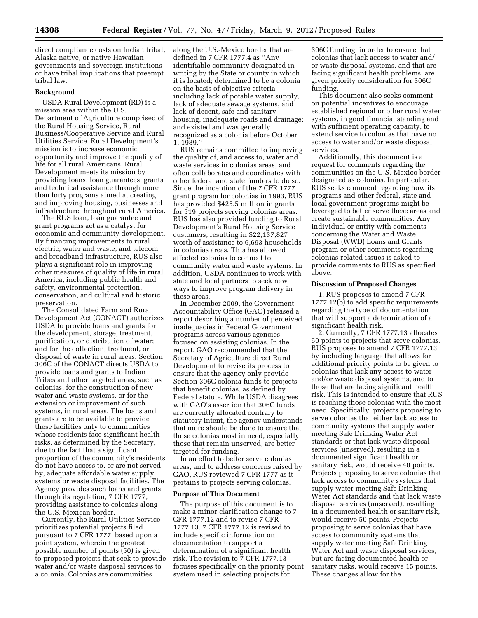direct compliance costs on Indian tribal, Alaska native, or native Hawaiian governments and sovereign institutions or have tribal implications that preempt tribal law.

#### **Background**

USDA Rural Development (RD) is a mission area within the U.S. Department of Agriculture comprised of the Rural Housing Service, Rural Business/Cooperative Service and Rural Utilities Service. Rural Development's mission is to increase economic opportunity and improve the quality of life for all rural Americans. Rural Development meets its mission by providing loans, loan guarantees, grants and technical assistance through more than forty programs aimed at creating and improving housing, businesses and infrastructure throughout rural America.

The RUS loan, loan guarantee and grant programs act as a catalyst for economic and community development. By financing improvements to rural electric, water and waste, and telecom and broadband infrastructure, RUS also plays a significant role in improving other measures of quality of life in rural America, including public health and safety, environmental protection, conservation, and cultural and historic preservation.

The Consolidated Farm and Rural Development Act (CONACT) authorizes USDA to provide loans and grants for the development, storage, treatment, purification, or distribution of water; and for the collection, treatment, or disposal of waste in rural areas. Section 306C of the CONACT directs USDA to provide loans and grants to Indian Tribes and other targeted areas, such as colonias, for the construction of new water and waste systems, or for the extension or improvement of such systems, in rural areas. The loans and grants are to be available to provide these facilities only to communities whose residents face significant health risks, as determined by the Secretary, due to the fact that a significant proportion of the community's residents do not have access to, or are not served by, adequate affordable water supply systems or waste disposal facilities. The Agency provides such loans and grants through its regulation, 7 CFR 1777, providing assistance to colonias along the U.S. Mexican border.

Currently, the Rural Utilities Service prioritizes potential projects filed pursuant to 7 CFR 1777, based upon a point system, wherein the greatest possible number of points (50) is given to proposed projects that seek to provide water and/or waste disposal services to a colonia. Colonias are communities

along the U.S.-Mexico border that are defined in 7 CFR 1777.4 as ''Any identifiable community designated in writing by the State or county in which it is located; determined to be a colonia on the basis of objective criteria including lack of potable water supply, lack of adequate sewage systems, and lack of decent, safe and sanitary housing, inadequate roads and drainage; and existed and was generally recognized as a colonia before October 1, 1989.''

RUS remains committed to improving the quality of, and access to, water and waste services in colonias areas, and often collaborates and coordinates with other federal and state funders to do so. Since the inception of the 7 CFR 1777 grant program for colonias in 1993, RUS has provided \$425.5 million in grants for 519 projects serving colonias areas. RUS has also provided funding to Rural Development's Rural Housing Service customers, resulting in \$22,137,827 worth of assistance to 6,693 households in colonias areas. This has allowed affected colonias to connect to community water and waste systems. In addition, USDA continues to work with state and local partners to seek new ways to improve program delivery in these areas.

In December 2009, the Government Accountability Office (GAO) released a report describing a number of perceived inadequacies in Federal Government programs across various agencies focused on assisting colonias. In the report, GAO recommended that the Secretary of Agriculture direct Rural Development to revise its process to ensure that the agency only provide Section 306C colonia funds to projects that benefit colonias, as defined by Federal statute. While USDA disagrees with GAO's assertion that 306C funds are currently allocated contrary to statutory intent, the agency understands that more should be done to ensure that those colonias most in need, especially those that remain unserved, are better targeted for funding.

In an effort to better serve colonias areas, and to address concerns raised by GAO, RUS reviewed 7 CFR 1777 as it pertains to projects serving colonias.

### **Purpose of This Document**

The purpose of this document is to make a minor clarification change to 7 CFR 1777.12 and to revise 7 CFR 1777.13. 7 CFR 1777.12 is revised to include specific information on documentation to support a determination of a significant health risk. The revision to 7 CFR 1777.13 focuses specifically on the priority point system used in selecting projects for

306C funding, in order to ensure that colonias that lack access to water and/ or waste disposal systems, and that are facing significant health problems, are given priority consideration for 306C funding.

This document also seeks comment on potential incentives to encourage established regional or other rural water systems, in good financial standing and with sufficient operating capacity, to extend service to colonias that have no access to water and/or waste disposal services.

Additionally, this document is a request for comments regarding the communities on the U.S.-Mexico border designated as colonias. In particular, RUS seeks comment regarding how its programs and other federal, state and local government programs might be leveraged to better serve these areas and create sustainable communities. Any individual or entity with comments concerning the Water and Waste Disposal (WWD) Loans and Grants program or other comments regarding colonias-related issues is asked to provide comments to RUS as specified above.

# **Discussion of Proposed Changes**

1. RUS proposes to amend 7 CFR 1777.12(b) to add specific requirements regarding the type of documentation that will support a determination of a significant health risk.

2. Currently, 7 CFR 1777.13 allocates 50 points to projects that serve colonias. RUS proposes to amend 7 CFR 1777.13 by including language that allows for additional priority points to be given to colonias that lack any access to water and/or waste disposal systems, and to those that are facing significant health risk. This is intended to ensure that RUS is reaching those colonias with the most need. Specifically, projects proposing to serve colonias that either lack access to community systems that supply water meeting Safe Drinking Water Act standards or that lack waste disposal services (unserved), resulting in a documented significant health or sanitary risk, would receive 40 points. Projects proposing to serve colonias that lack access to community systems that supply water meeting Safe Drinking Water Act standards and that lack waste disposal services (unserved), resulting in a documented health or sanitary risk, would receive 50 points. Projects proposing to serve colonias that have access to community systems that supply water meeting Safe Drinking Water Act and waste disposal services, but are facing documented health or sanitary risks, would receive 15 points. These changes allow for the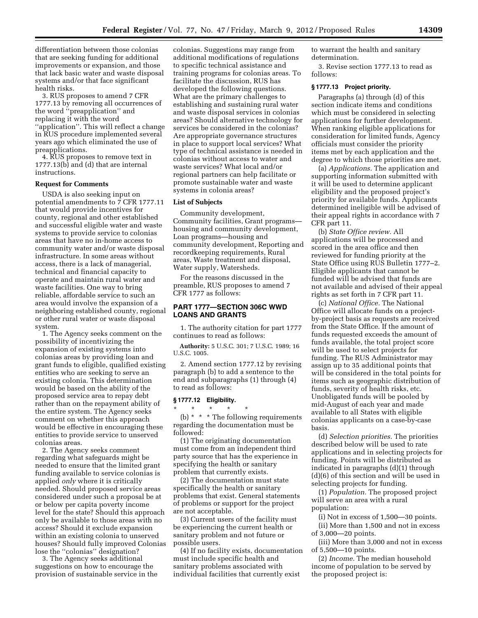differentiation between those colonias that are seeking funding for additional improvements or expansion, and those that lack basic water and waste disposal systems and/or that face significant health risks.

3. RUS proposes to amend 7 CFR 1777.13 by removing all occurrences of the word ''preapplication'' and replacing it with the word ''application''. This will reflect a change in RUS procedure implemented several years ago which eliminated the use of preapplications.

4. RUS proposes to remove text in 1777.13(b) and (d) that are internal instructions.

### **Request for Comments**

USDA is also seeking input on potential amendments to 7 CFR 1777.11 that would provide incentives for county, regional and other established and successful eligible water and waste systems to provide service to colonias areas that have no in-home access to community water and/or waste disposal infrastructure. In some areas without access, there is a lack of managerial, technical and financial capacity to operate and maintain rural water and waste facilities. One way to bring reliable, affordable service to such an area would involve the expansion of a neighboring established county, regional or other rural water or waste disposal system.

1. The Agency seeks comment on the possibility of incentivizing the expansion of existing systems into colonias areas by providing loan and grant funds to eligible, qualified existing entities who are seeking to serve an existing colonia. This determination would be based on the ability of the proposed service area to repay debt rather than on the repayment ability of the entire system. The Agency seeks comment on whether this approach would be effective in encouraging these entities to provide service to unserved colonias areas.

2. The Agency seeks comment regarding what safeguards might be needed to ensure that the limited grant funding available to service colonias is applied *only* where it is critically needed. Should proposed service areas considered under such a proposal be at or below per capita poverty income level for the state? Should this approach only be available to those areas with no access? Should it exclude expansion within an existing colonia to unserved houses? Should fully improved Colonias lose the "colonias" designation?

3. The Agency seeks additional suggestions on how to encourage the provision of sustainable service in the

colonias. Suggestions may range from additional modifications of regulations to specific technical assistance and training programs for colonias areas. To facilitate the discussion, RUS has developed the following questions. What are the primary challenges to establishing and sustaining rural water and waste disposal services in colonias areas? Should alternative technology for services be considered in the colonias? Are appropriate governance structures in place to support local services? What type of technical assistance is needed in colonias without access to water and waste services? What local and/or regional partners can help facilitate or promote sustainable water and waste systems in colonia areas?

### **List of Subjects**

Community development, Community facilities, Grant programs housing and community development, Loan programs—housing and community development, Reporting and recordkeeping requirements, Rural areas, Waste treatment and disposal, Water supply, Watersheds.

For the reasons discussed in the preamble, RUS proposes to amend 7 CFR 1777 as follows:

### **PART 1777—SECTION 306C WWD LOANS AND GRANTS**

1. The authority citation for part 1777 continues to read as follows:

**Authority:** 5 U.S.C. 301; 7 U.S.C. 1989; 16 U.S.C. 1005.

2. Amend section 1777.12 by revising paragraph (b) to add a sentence to the end and subparagraphs (1) through (4) to read as follows:

### **§ 1777.12 Eligibility.**

\* \* \* \* \* (b) \* \* \* The following requirements regarding the documentation must be followed:

(1) The originating documentation must come from an independent third party source that has the experience in specifying the health or sanitary problem that currently exists.

(2) The documentation must state specifically the health or sanitary problems that exist. General statements of problems or support for the project are not acceptable.

(3) Current users of the facility must be experiencing the current health or sanitary problem and not future or possible users.

(4) If no facility exists, documentation must include specific health and sanitary problems associated with individual facilities that currently exist

to warrant the health and sanitary determination.

3. Revise section 1777.13 to read as follows:

### **§ 1777.13 Project priority.**

Paragraphs (a) through (d) of this section indicate items and conditions which must be considered in selecting applications for further development. When ranking eligible applications for consideration for limited funds, Agency officials must consider the priority items met by each application and the degree to which those priorities are met.

(a) *Applications.* The application and supporting information submitted with it will be used to determine applicant eligibility and the proposed project's priority for available funds. Applicants determined ineligible will be advised of their appeal rights in accordance with 7 CFR part 11.

(b) *State Office review.* All applications will be processed and scored in the area office and then reviewed for funding priority at the State Office using RUS Bulletin 1777–2. Eligible applicants that cannot be funded will be advised that funds are not available and advised of their appeal rights as set forth in 7 CFR part 11.

(c) *National Office.* The National Office will allocate funds on a projectby-project basis as requests are received from the State Office. If the amount of funds requested exceeds the amount of funds available, the total project score will be used to select projects for funding. The RUS Administrator may assign up to 35 additional points that will be considered in the total points for items such as geographic distribution of funds, severity of health risks, etc. Unobligated funds will be pooled by mid-August of each year and made available to all States with eligible colonias applicants on a case-by-case basis.

(d) *Selection priorities.* The priorities described below will be used to rate applications and in selecting projects for funding. Points will be distributed as indicated in paragraphs (d)(1) through (d)(6) of this section and will be used in selecting projects for funding.

(1) *Population.* The proposed project will serve an area with a rural population:

(i) Not in excess of 1,500—30 points.

(ii) More than 1,500 and not in excess of 3,000—20 points.

(iii) More than 3,000 and not in excess of 5,500—10 points.

(2) *Income.* The median household income of population to be served by the proposed project is: